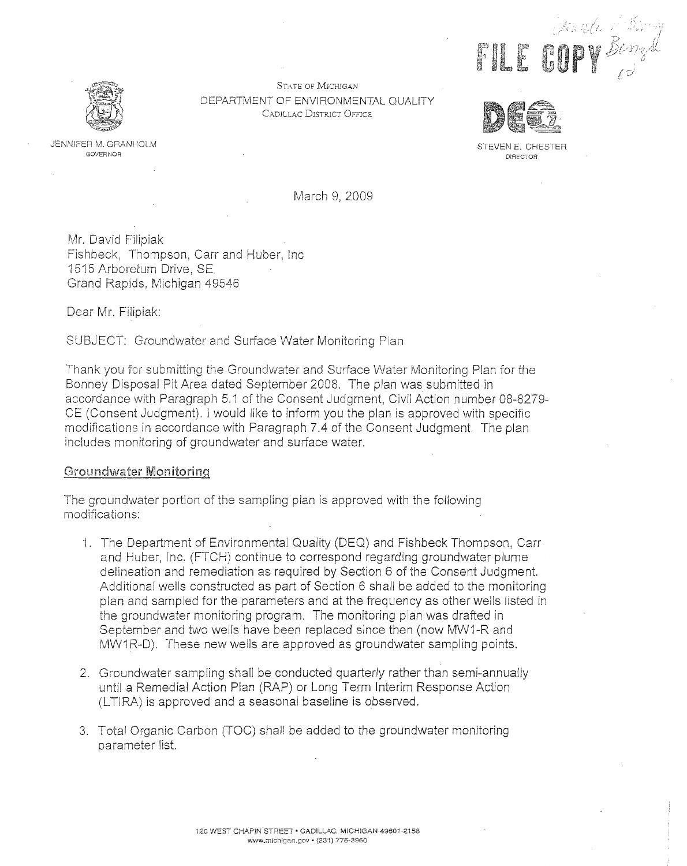OF ALL **DUP WERE STATE OF MICHIGAN** 



DEPARTMENT OF ENVIRONMENTAL QUALITY CADiLLAC DISTRICT OFFICE



JENNIFER M. GRANHOLM STEVEN E. CHESTER GOVERNOR DESCRIPTION OF STEVEN E. CHESTER GOVERNOR DIRECTOR

March 9, 2009

Mr. David Filipiak Fishbeck, Thompson, Carr and Huber, Inc 1515 Arboretum Drive, SF Grand Rapids, Michigan 49546

Dear Mr. Filipiak:

SUBJECT: Groundwater and Surface Water Monitoring Plan

Thank you for submitting the Groundwater and Surface Water Monitoring Plan for the Bonney Disposal Pit Area dated September 2008. The plan was submitted in accordance with Paragraph 5.1 of the Consent Judgment, Civil Action number 08-8279 CE (Consent Judgment). I would like to inform you the plan is approved with specific modifications in accordance with Paragraph 7.4 of the Consent Judgment. The plan includes monitoring of groundwater and surface water.

## Groundwater Monitoring

The groundwater portion of the sampling plan is approved with the following modifications:

- 1. The Department of Environmental Quality (DEQ) and Fishbeck Thompson, Carr and Huber, Inc. (FTCH) continue to correspond regarding groundwater plume delineation and remediation as required by Section 6 of the Consent Judgment. Additional wells constructed as part of Section 6 shall be added to the monitoring plan and sampled for the parameters and at the frequency as other wells listed in the groundwater monitoring program. The monitoring plan was drafted in September and two wells have been replaced since then (now MW1-R and MW1R-D). These new wells are approved as groundwater sampling points.
- 2. Groundwater sampling shall be conducted quarterly rather than semi-annually until a Remedial Action Plan (RAP) or Long Term Interim Response Action (LTIRA) is approved and a seasonal baseline is observed.
- 3. Total Organic Carbon (TOC) shall be added to the groundwater monitoring parameter list.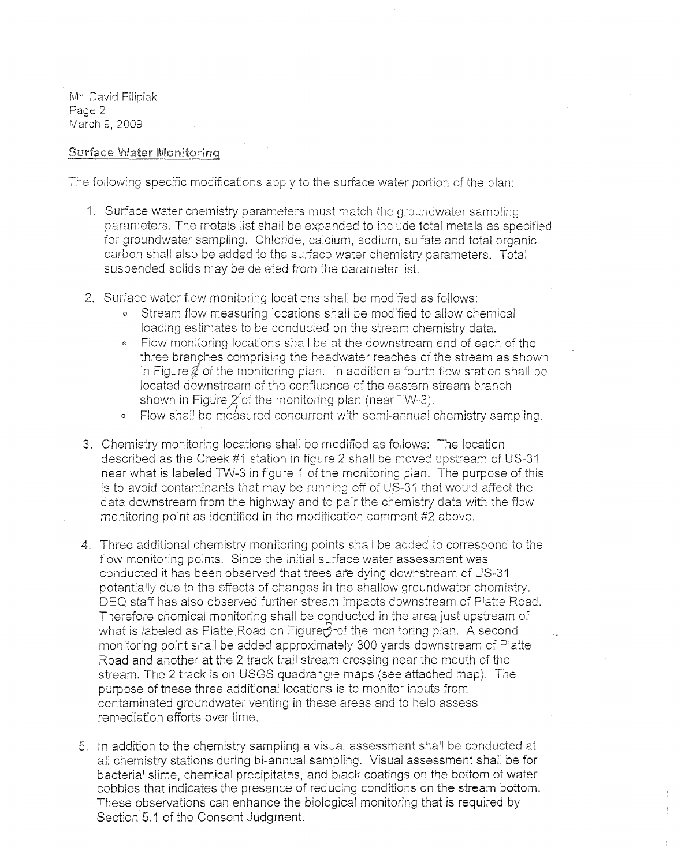Mr. David Filipiak Page 2 March 9, 2009

## Surface Water Monitoring

The following specific modifications apply to the surface water portion of the plan:

- 1. Surface water chemistry parameters must match the groundwater sampling parameters. The metals list shall be expanded to include total metals as specified for groundwater sampling. Chloride, calcium, sodium, sulfate and total organic carbon shall also be added to the surface water chemistry parameters. Total suspended solids may be deleted from the parameter list.
- 2. Surface water flow monitoring locations shall be modified as follows:
	- *e* Stream flow measuring locations shall be modified to allow chemical loading estimates to be conducted on the stream chemistry data.
	- <sup>e</sup>Flow monitoring locations shall be at the downstream end of each of the three branches comprising the headwater reaches of the stream as shown in Figure  $\mathcal{J}$  of the monitoring plan. In addition a fourth flow station shall be located downstream of the confluence of the eastern stream branch shown in Figure  $\chi'$  of the monitoring plan (near TW-3).
	- <sup>o</sup>Flow shall be measured concurrent with semi-annual chemistry sampling.
- 3. Chemistry monitoring locations shal! be modified as follows: The location described as the Creek #1 station in figure 2 shall be moved upstream of US-31 near what is labeled TW-3 in figure 1 of the monitoring plan. The purpose of this is to avoid contaminants that may be running off of US-31 that would affect the data downstream from the highway and to pair the chemistry data with the flow monitoring point as identified in the modification comment #2 above.
- 4. Three additional chemistry monitoring points shall be added to correspond to the flow monitoring points. Since the initial surface water assessment was conducted it has been observed that trees are dying downstream of US-31 potentially due to the effects of changes in the shallow groundwater chemistry. DEQ staff has also observed further stream impacts downstream of Platte Road. Therefore chemical monitoring shall be conducted in the area just upstream of what is labeled as Platte Road on Figure $\frac{1}{2}$  of the monitoring plan. A second monitoring point shall be added approximately 300 yards downstream of Platte Road and another at the 2 track trail stream crossing near the mouth of the stream. The 2 track is on USGS quadrangle maps (see attached map). The purpose of these three additional locations is to monitor inputs from contaminated groundwater venting in these areas and to help assess remediation efforts over time.
- 5. In addition to the chemistry sampling a visual assessment shall be conducted at all chemistry stations during bi-annual sampling. Visual assessment shall be for bacterial slime, chemical precipitates, and black coatings on the bottom of water cobbles that indicates the presence of reducing conditions on the stream bottom. These observations can enhance the biological monitoring that is required by Section 5.1 of the Consent Judgment.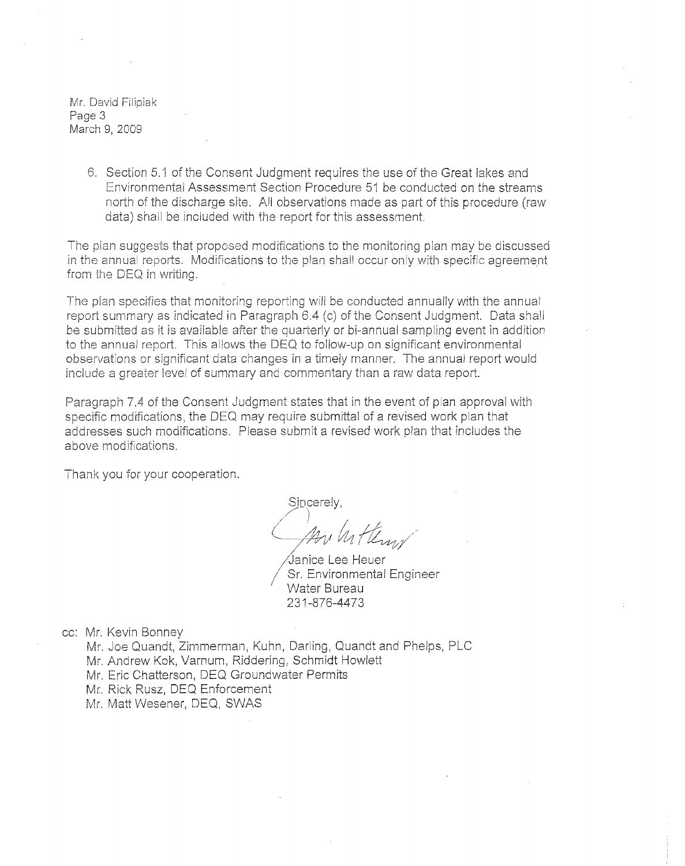Mr. David Filipiak Page 3 March 9, 2009

> 6. Section 5.1 of the Consent Judgment requires the use of the Great lakes and Environmental Assessment Section Procedure 51 be conducted on the streams north of the discharge site. All observations made as part of this procedure (raw data) shall be included with the report for this assessment.

The plan suggests that proposed modifications to the monitoring plan may be discussed in the annual reports. Modifications to the plan shall occur only with specific agreement from the DEQ in writing.

The plan specifies that monitoring reporting will be conducted annually with the annual report summary as indicated in Paragraph 6.4 (c) of the Consent Judgment. Data shall be submitted as it is available after the quarterly or bi-annual sampling event in addition to the annual report. This allows the DEQ to follow-up on significant environmental observations or significant data changes in a timely manner. The annual report would include a greater level of summary and commentary than a raw data report.

Paragraph 7.4 of the Consent Judgment states that in the event of plan approval with specific modifications, the DEQ may require submittal of a revised work plan that addresses such modifications. Please submit a revised work plan that includes the above modifications.

Thank you for your cooperation.

Sincerely,  $\bigwedge_{i=1}^{\infty}$  ,  $\bigcup_{i=1}^{\infty}$ (pour la Henry

∕Janice Lee Heuer<br>Sr. Environmental Engineer Water Bureau 231-876-4473

cc: Mr. Kevin Bonney

- Mr. Joe Quandt, Zimmerman, Kuhn, Darling, Quandt and Phelps, PLC
- Mr. Andrew Kok, Varnum, Riddering, Schmidt Howlett
- Mr. Eric Chatterson, DEQ Groundwater Permits
- Mr, Rick Rusz, DEQ Enforcement
- Mr. Matt Wesener, DEQ, SWAS